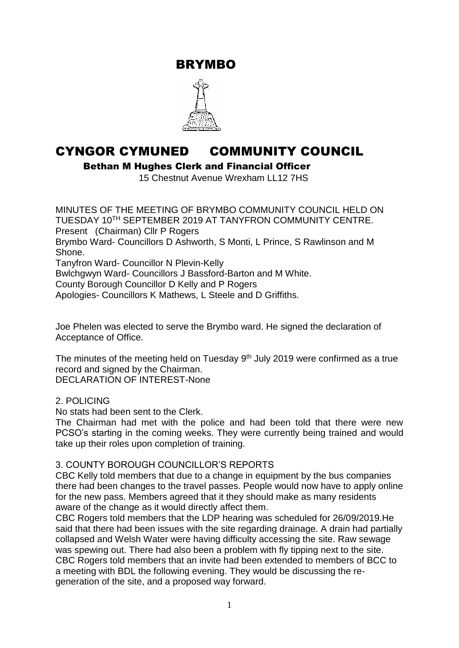BRYMBO



# CYNGOR CYMUNED COMMUNITY COUNCIL

Bethan M Hughes Clerk and Financial Officer

15 Chestnut Avenue Wrexham LL12 7HS

MINUTES OF THE MEETING OF BRYMBO COMMUNITY COUNCIL HELD ON TUESDAY 10TH SEPTEMBER 2019 AT TANYFRON COMMUNITY CENTRE. Present (Chairman) Cllr P Rogers Brymbo Ward- Councillors D Ashworth, S Monti, L Prince, S Rawlinson and M Shone. Tanyfron Ward- Councillor N Plevin-Kelly Bwlchgwyn Ward- Councillors J Bassford-Barton and M White. County Borough Councillor D Kelly and P Rogers Apologies- Councillors K Mathews, L Steele and D Griffiths.

Joe Phelen was elected to serve the Brymbo ward. He signed the declaration of Acceptance of Office.

The minutes of the meeting held on Tuesday 9<sup>th</sup> July 2019 were confirmed as a true record and signed by the Chairman. DECLARATION OF INTEREST-None

#### 2. POLICING

No stats had been sent to the Clerk.

The Chairman had met with the police and had been told that there were new PCSO's starting in the coming weeks. They were currently being trained and would take up their roles upon completion of training.

#### 3. COUNTY BOROUGH COUNCILLOR'S REPORTS

CBC Kelly told members that due to a change in equipment by the bus companies there had been changes to the travel passes. People would now have to apply online for the new pass. Members agreed that it they should make as many residents aware of the change as it would directly affect them.

CBC Rogers told members that the LDP hearing was scheduled for 26/09/2019.He said that there had been issues with the site regarding drainage. A drain had partially collapsed and Welsh Water were having difficulty accessing the site. Raw sewage was spewing out. There had also been a problem with fly tipping next to the site. CBC Rogers told members that an invite had been extended to members of BCC to a meeting with BDL the following evening. They would be discussing the regeneration of the site, and a proposed way forward.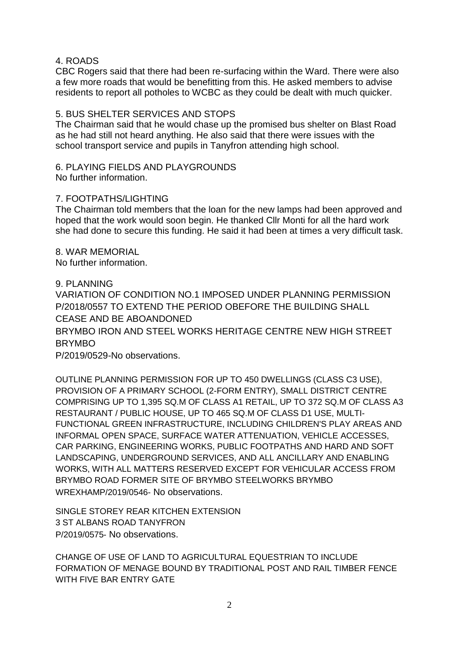#### 4. ROADS

CBC Rogers said that there had been re-surfacing within the Ward. There were also a few more roads that would be benefitting from this. He asked members to advise residents to report all potholes to WCBC as they could be dealt with much quicker.

#### 5. BUS SHELTER SERVICES AND STOPS

The Chairman said that he would chase up the promised bus shelter on Blast Road as he had still not heard anything. He also said that there were issues with the school transport service and pupils in Tanyfron attending high school.

### 6. PLAYING FIELDS AND PLAYGROUNDS

No further information.

#### 7. FOOTPATHS/LIGHTING

The Chairman told members that the loan for the new lamps had been approved and hoped that the work would soon begin. He thanked Cllr Monti for all the hard work she had done to secure this funding. He said it had been at times a very difficult task.

8. WAR MEMORIAL No further information.

#### 9. PLANNING

VARIATION OF CONDITION NO.1 IMPOSED UNDER PLANNING PERMISSION P/2018/0557 TO EXTEND THE PERIOD OBEFORE THE BUILDING SHALL CEASE AND BE ABOANDONED BRYMBO IRON AND STEEL WORKS HERITAGE CENTRE NEW HIGH STREET BRYMBO P/2019/0529-No observations.

OUTLINE PLANNING PERMISSION FOR UP TO 450 DWELLINGS (CLASS C3 USE), PROVISION OF A PRIMARY SCHOOL (2-FORM ENTRY), SMALL DISTRICT CENTRE COMPRISING UP TO 1,395 SQ.M OF CLASS A1 RETAIL, UP TO 372 SQ.M OF CLASS A3 RESTAURANT / PUBLIC HOUSE, UP TO 465 SQ.M OF CLASS D1 USE, MULTI-FUNCTIONAL GREEN INFRASTRUCTURE, INCLUDING CHILDREN'S PLAY AREAS AND INFORMAL OPEN SPACE, SURFACE WATER ATTENUATION, VEHICLE ACCESSES, CAR PARKING, ENGINEERING WORKS, PUBLIC FOOTPATHS AND HARD AND SOFT LANDSCAPING, UNDERGROUND SERVICES, AND ALL ANCILLARY AND ENABLING WORKS, WITH ALL MATTERS RESERVED EXCEPT FOR VEHICULAR ACCESS FROM BRYMBO ROAD FORMER SITE OF BRYMBO STEELWORKS BRYMBO WREXHAMP/2019/0546- No observations.

SINGLE STOREY REAR KITCHEN EXTENSION 3 ST ALBANS ROAD TANYFRON P/2019/0575- No observations.

CHANGE OF USE OF LAND TO AGRICULTURAL EQUESTRIAN TO INCLUDE FORMATION OF MENAGE BOUND BY TRADITIONAL POST AND RAIL TIMBER FENCE WITH FIVE BAR ENTRY GATE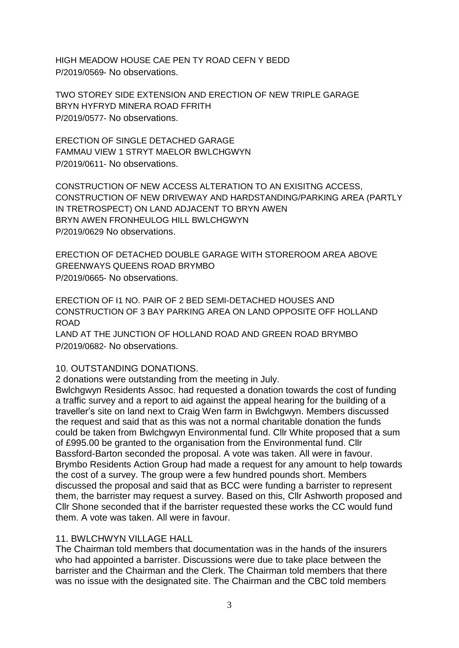HIGH MEADOW HOUSE CAE PEN TY ROAD CEFN Y BEDD P/2019/0569- No observations.

TWO STOREY SIDE EXTENSION AND ERECTION OF NEW TRIPLE GARAGE BRYN HYFRYD MINERA ROAD FFRITH P/2019/0577- No observations.

ERECTION OF SINGLE DETACHED GARAGE FAMMAU VIEW 1 STRYT MAELOR BWLCHGWYN P/2019/0611- No observations.

CONSTRUCTION OF NEW ACCESS ALTERATION TO AN EXISITNG ACCESS, CONSTRUCTION OF NEW DRIVEWAY AND HARDSTANDING/PARKING AREA (PARTLY IN TRETROSPECT) ON LAND ADJACENT TO BRYN AWEN BRYN AWEN FRONHEULOG HILL BWLCHGWYN P/2019/0629 No observations.

ERECTION OF DETACHED DOUBLE GARAGE WITH STOREROOM AREA ABOVE GREENWAYS QUEENS ROAD BRYMBO P/2019/0665- No observations.

ERECTION OF I1 NO. PAIR OF 2 BED SEMI-DETACHED HOUSES AND CONSTRUCTION OF 3 BAY PARKING AREA ON LAND OPPOSITE OFF HOLLAND **ROAD** 

LAND AT THE JUNCTION OF HOLLAND ROAD AND GREEN ROAD BRYMBO P/2019/0682- No observations.

#### 10. OUTSTANDING DONATIONS.

2 donations were outstanding from the meeting in July.

Bwlchgwyn Residents Assoc. had requested a donation towards the cost of funding a traffic survey and a report to aid against the appeal hearing for the building of a traveller's site on land next to Craig Wen farm in Bwlchgwyn. Members discussed the request and said that as this was not a normal charitable donation the funds could be taken from Bwlchgwyn Environmental fund. Cllr White proposed that a sum of £995.00 be granted to the organisation from the Environmental fund. Cllr Bassford-Barton seconded the proposal. A vote was taken. All were in favour. Brymbo Residents Action Group had made a request for any amount to help towards the cost of a survey. The group were a few hundred pounds short. Members discussed the proposal and said that as BCC were funding a barrister to represent them, the barrister may request a survey. Based on this, Cllr Ashworth proposed and Cllr Shone seconded that if the barrister requested these works the CC would fund them. A vote was taken. All were in favour.

#### 11. BWLCHWYN VILLAGE HALL

The Chairman told members that documentation was in the hands of the insurers who had appointed a barrister. Discussions were due to take place between the barrister and the Chairman and the Clerk. The Chairman told members that there was no issue with the designated site. The Chairman and the CBC told members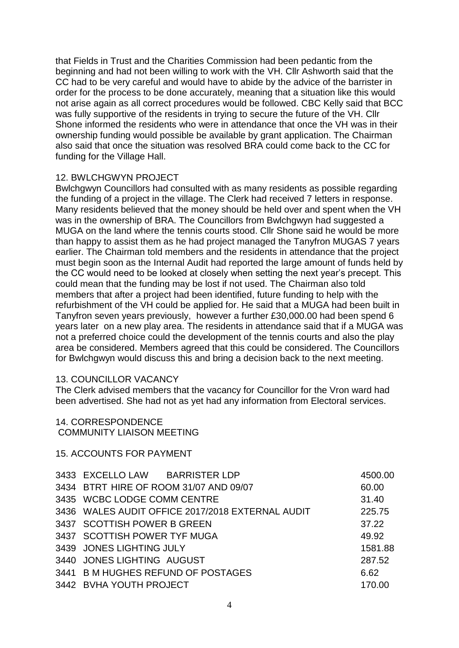that Fields in Trust and the Charities Commission had been pedantic from the beginning and had not been willing to work with the VH. Cllr Ashworth said that the CC had to be very careful and would have to abide by the advice of the barrister in order for the process to be done accurately, meaning that a situation like this would not arise again as all correct procedures would be followed. CBC Kelly said that BCC was fully supportive of the residents in trying to secure the future of the VH. Cllr Shone informed the residents who were in attendance that once the VH was in their ownership funding would possible be available by grant application. The Chairman also said that once the situation was resolved BRA could come back to the CC for funding for the Village Hall.

#### 12. BWLCHGWYN PROJECT

Bwlchgwyn Councillors had consulted with as many residents as possible regarding the funding of a project in the village. The Clerk had received 7 letters in response. Many residents believed that the money should be held over and spent when the VH was in the ownership of BRA. The Councillors from Bwlchgwyn had suggested a MUGA on the land where the tennis courts stood. Cllr Shone said he would be more than happy to assist them as he had project managed the Tanyfron MUGAS 7 years earlier. The Chairman told members and the residents in attendance that the project must begin soon as the Internal Audit had reported the large amount of funds held by the CC would need to be looked at closely when setting the next year's precept. This could mean that the funding may be lost if not used. The Chairman also told members that after a project had been identified, future funding to help with the refurbishment of the VH could be applied for. He said that a MUGA had been built in Tanyfron seven years previously, however a further £30,000.00 had been spend 6 years later on a new play area. The residents in attendance said that if a MUGA was not a preferred choice could the development of the tennis courts and also the play area be considered. Members agreed that this could be considered. The Councillors for Bwlchgwyn would discuss this and bring a decision back to the next meeting.

#### 13. COUNCILLOR VACANCY

The Clerk advised members that the vacancy for Councillor for the Vron ward had been advertised. She had not as yet had any information from Electoral services.

## 14. CORRESPONDENCE

#### COMMUNITY LIAISON MEETING

#### 15. ACCOUNTS FOR PAYMENT

| 3433 EXCELLO LAW BARRISTER LDP         |                                                  | 4500.00 |
|----------------------------------------|--------------------------------------------------|---------|
| 3434 BTRT HIRE OF ROOM 31/07 AND 09/07 |                                                  | 60.00   |
| 3435 WCBC LODGE COMM CENTRE            |                                                  | 31.40   |
|                                        | 3436 WALES AUDIT OFFICE 2017/2018 EXTERNAL AUDIT | 225.75  |
| 3437 SCOTTISH POWER B GREEN            |                                                  | 37.22   |
| 3437 SCOTTISH POWER TYF MUGA           |                                                  | 49.92   |
| 3439 JONES LIGHTING JULY               |                                                  | 1581.88 |
| 3440 JONES LIGHTING AUGUST             |                                                  | 287.52  |
| 3441 B M HUGHES REFUND OF POSTAGES     |                                                  | 6.62    |
| 3442 BVHA YOUTH PROJECT                |                                                  | 170.00  |